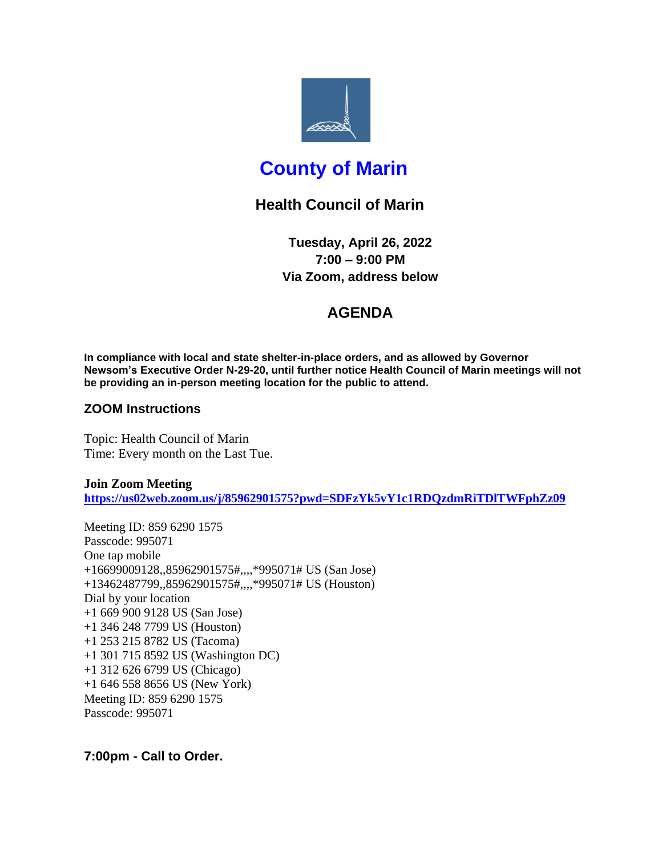

# **County of Marin**

## **Health Council of Marin**

**Tuesday, April 26, 2022 7:00 – 9:00 PM Via Zoom, address below**

### **AGENDA**

**In compliance with local and state shelter-in-place orders, and as allowed by Governor Newsom's Executive Order N-29-20, until further notice Health Council of Marin meetings will not be providing an in-person meeting location for the public to attend.**

### **ZOOM Instructions**

Topic: Health Council of Marin Time: Every month on the Last Tue.

**Join Zoom Meeting <https://us02web.zoom.us/j/85962901575?pwd=SDFzYk5vY1c1RDQzdmRiTDlTWFphZz09>**

Meeting ID: 859 6290 1575 Passcode: 995071 One tap mobile +16699009128,,85962901575#,,,,\*995071# US (San Jose) +13462487799,,85962901575#,,,,\*995071# US (Houston) Dial by your location +1 669 900 9128 US (San Jose) +1 346 248 7799 US (Houston) +1 253 215 8782 US (Tacoma) +1 301 715 8592 US (Washington DC) +1 312 626 6799 US (Chicago) +1 646 558 8656 US (New York) Meeting ID: 859 6290 1575 Passcode: 995071

**7:00pm - Call to Order.**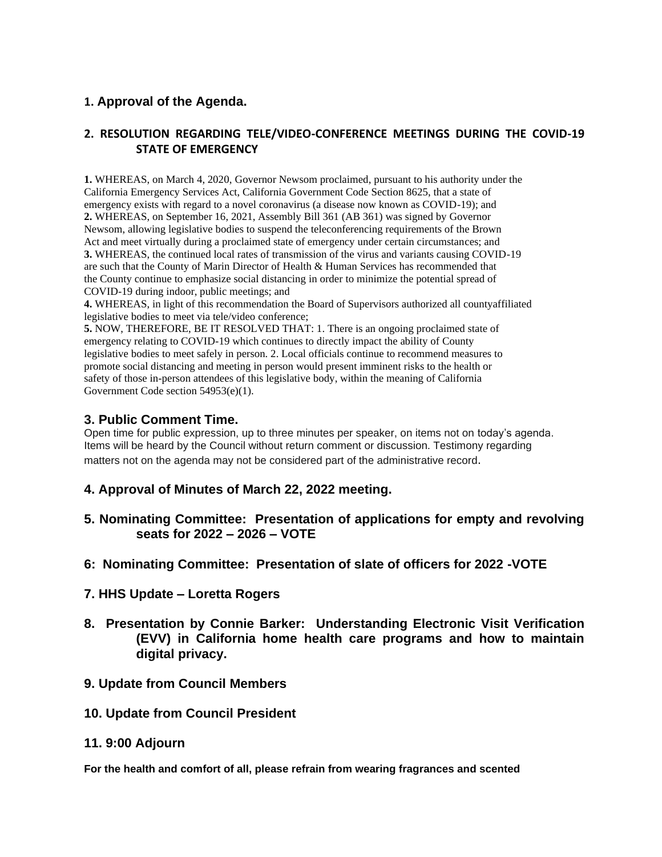### **1. Approval of the Agenda.**

#### **2. RESOLUTION REGARDING TELE/VIDEO-CONFERENCE MEETINGS DURING THE COVID-19 STATE OF EMERGENCY**

**1.** WHEREAS, on March 4, 2020, Governor Newsom proclaimed, pursuant to his authority under the California Emergency Services Act, California Government Code Section 8625, that a state of emergency exists with regard to a novel coronavirus (a disease now known as COVID-19); and **2.** WHEREAS, on September 16, 2021, Assembly Bill 361 (AB 361) was signed by Governor Newsom, allowing legislative bodies to suspend the teleconferencing requirements of the Brown Act and meet virtually during a proclaimed state of emergency under certain circumstances; and **3.** WHEREAS, the continued local rates of transmission of the virus and variants causing COVID-19 are such that the County of Marin Director of Health & Human Services has recommended that the County continue to emphasize social distancing in order to minimize the potential spread of COVID-19 during indoor, public meetings; and

**4.** WHEREAS, in light of this recommendation the Board of Supervisors authorized all countyaffiliated legislative bodies to meet via tele/video conference;

**5.** NOW, THEREFORE, BE IT RESOLVED THAT: 1. There is an ongoing proclaimed state of emergency relating to COVID-19 which continues to directly impact the ability of County legislative bodies to meet safely in person. 2. Local officials continue to recommend measures to promote social distancing and meeting in person would present imminent risks to the health or safety of those in-person attendees of this legislative body, within the meaning of California Government Code section 54953(e)(1).

#### **3. Public Comment Time.**

Open time for public expression, up to three minutes per speaker, on items not on today's agenda. Items will be heard by the Council without return comment or discussion. Testimony regarding matters not on the agenda may not be considered part of the administrative record.

- **4. Approval of Minutes of March 22, 2022 meeting.**
- **5. Nominating Committee: Presentation of applications for empty and revolving seats for 2022 – 2026 – VOTE**
- **6: Nominating Committee: Presentation of slate of officers for 2022 -VOTE**
- **7. HHS Update – Loretta Rogers**
- **8. Presentation by Connie Barker: Understanding Electronic Visit Verification (EVV) in California home health care programs and how to maintain digital privacy.**
- **9. Update from Council Members**
- **10. Update from Council President**
- **11. 9:00 Adjourn**

**For the health and comfort of all, please refrain from wearing fragrances and scented**